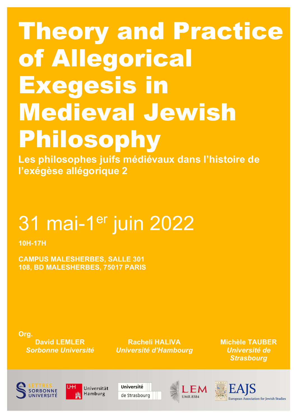# Theory and Practice of Allegorical Exegesis in Medieval Jewish Philosophy

**Les philosophes juifs médiévaux dans l'histoire de l'exégèse allégorique 2**

# 31 mai-1er juin 2022

**10H-17H**

**CAMPUS MALESHERBES, SALLE 301 108, BD MALESHERBES, 75017 PARIS**

**Org. David LEMLER** *Sorbonne Université*

**Racheli HALIVA**  *Université d'Hambourg* **Michèle TAUBER**  *Université de Strasbourg*





Université de Strasbourg



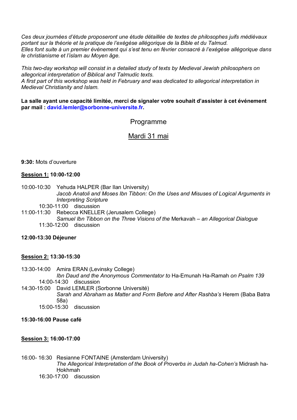*Ces deux journées d'étude proposeront une étude détaillée de textes de philosophes juifs médiévaux portant sur la théorie et la pratique de l'exégèse allégorique de la Bible et du Talmud. Elles font suite à un premier événement qui s'est tenu en février consacré à l'exégèse allégorique dans le christianisme et l'islam au Moyen âge.* 

*This two-day workshop will consist in a detailed study of texts by Medieval Jewish philosophers on allegorical interpretation of Biblical and Talmudic texts.*

*A first part of this workshop was held in February and was dedicated to allegorical interpretation in Medieval Christianity and Islam.* 

**La salle ayant une capacité limitée, merci de signaler votre souhait d'assister à cet événement par mail : david.lemler@sorbonne-universite.fr.** 

## Programme

## Mardi 31 mai

#### **9:30:** Mots d'ouverture

#### **Session 1: 10:00-12:00**

- 10:00-10:30 Yehuda HALPER (Bar Ilan University) *Jacob Anatoli and Moses Ibn Tibbon: On the Uses and Misuses of Logical Arguments in Interpreting Scripture*
	- 10:30-11:00 discussion
- 11:00-11:30 Rebecca KNELLER (Jerusalem College) *Samuel Ibn Tibbon on the Three Visions of the* Merkavah *– an Allegorical Dialogue* 11:30-12:00 discussion

#### **12:00-13:30 Déjeuner**

#### **Session 2: 13:30-15:30**

13:30-14:00 Amira ERAN (Levinsky College) *Ibn Daud and the Anonymous Commentator to* Ha-Emunah Ha-Ramah *on Psalm 139* 14:00-14:30 discussion

14:30-15:00 David LEMLER (Sorbonne Université) *Sarah and Abraham as Matter and Form Before and After Rashba's* Herem (Baba Batra 58a) 15:00-15:30 discussion

#### **15:30-16:00 Pause café**

#### **Session 3: 16:00-17:00**

16:00- 16:30 Resianne FONTAINE (Amsterdam University) *The Allegorical Interpretation of the Book of Proverbs in Judah ha-Cohen's* Midrash ha-Ḥokhmah 16:30-17:00 discussion